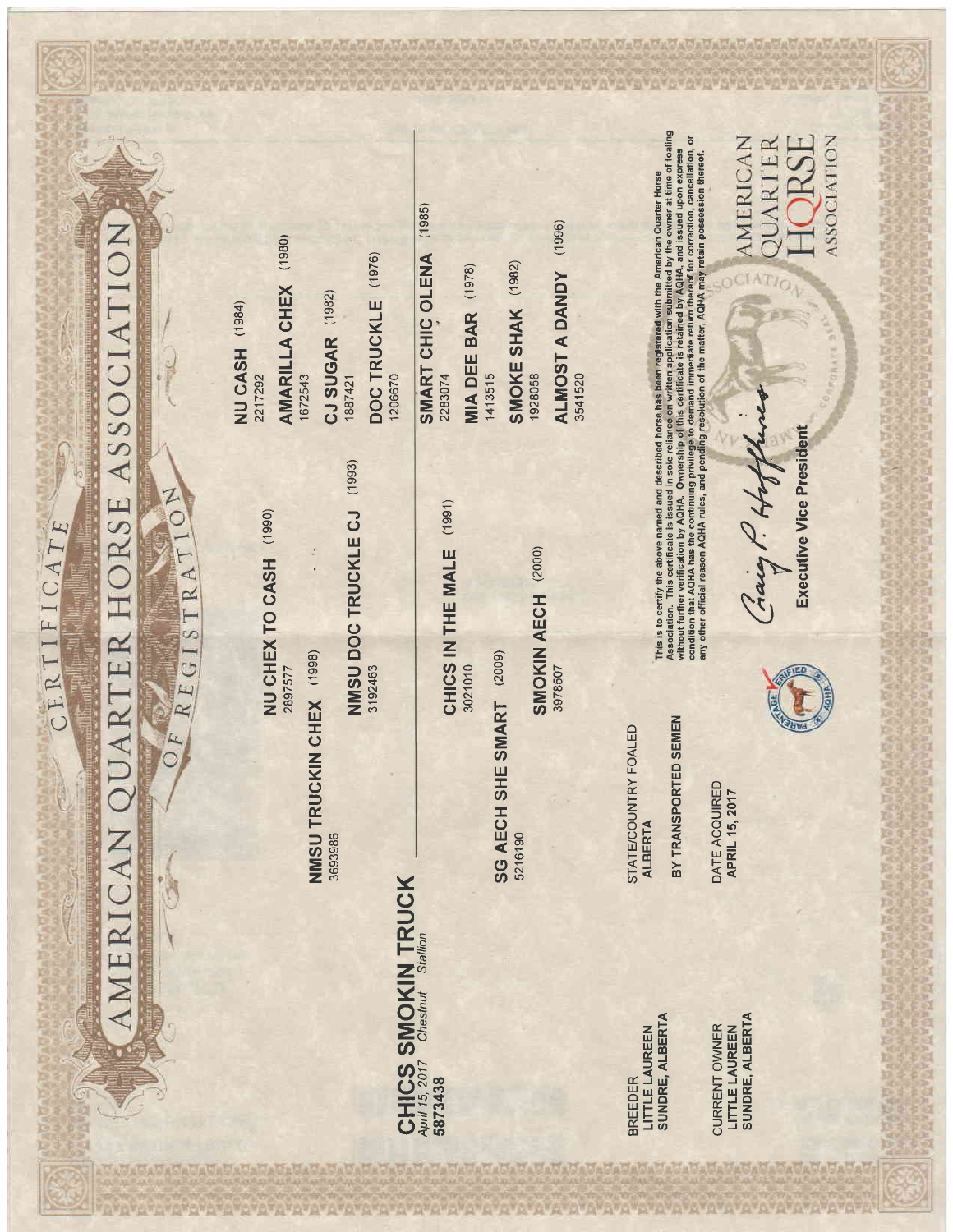ASSOCIATION HORSE ARTER ERICAN

有限

CERTIFICATE

GISTRATIO  $\overline{E}$  $\approx$ 

t.

Complete of

Z

NU CHEX TO CASH (1990) 2897577

NMSU TRUCKIN CHEX (1998) 3693986 NMSU DOC TRUCKLE CJ (1993) 3192463

## CHICS SMOKIN TRUCK<br>April 15, 2017 Chestnut Stallion

 $(1991)$ CHICS IN THE MALE 3021010

SG AECH SHE SMART (2009) 5216190 SMOKIN AECH (2000) 3978507

AMARILLA CHEX (1980) NU CASH (1984) 2217292

1672543

CJ SUGAR (1982) 1887421

 $(1976)$ **DOC TRUCKLE** 1206670

 $(1985)$ SMART CHIC OLENA 2283074

**MIA DEE BAR** (1978) 1413515 SMOKE SHAK (1982) 1928058 ALMOST A DANDY (1996) 3541520

> STATE/COUNTRY FOALED **ALBERTA**

BY TRANSPORTED SEMEN

Association. This certificate is issued in sole reliance on written application submitted by the owner at time of foaling<br>without further verification by AQHA. Owneriship of this certificate is retained by AQHA, and issued

This is to certify the above named and described horse has been registered with the American Quarter Horse

DATE ACQUIRED **APRIL 15, 2017** 

Gaig P. H.

**JRSE AMERICAN** *<u>OUARTER</u>* CIAT

**ASSOCIATION** 

**Executive Vice President** 



LITTLE LAUREEN<br>SUNDRE, ALBERTA **BREEDER** 

LITTLE LAUREEN<br>SUNDRE, ALBERTA CURRENT OWNER